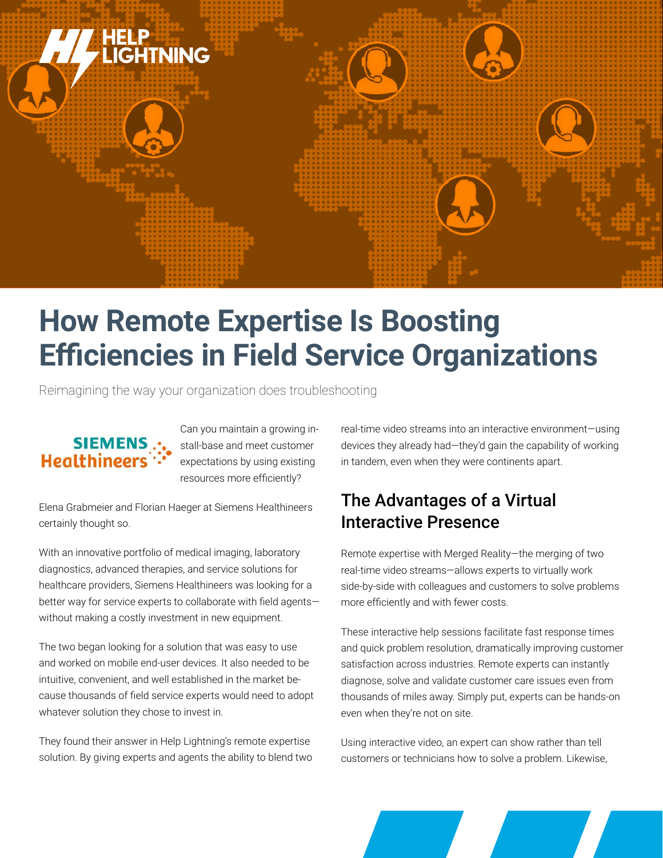

# **How Remote Expertise Is Boosting Efficiencies in Field Service Organizations**

Reimagining the way your organization does troubleshooting



Can you maintain a growing install-base and meet customer expectations by using existing resources more efficiently?

Elena Grabmeier and Florian Haeger at Siemens Healthineers certainly thought so.

With an innovative portfolio of medical imaging, laboratory diagnostics, advanced therapies, and service solutions for healthcare providers, Siemens Healthineers was looking for a better way for service experts to collaborate with field agents without making a costly investment in new equipment.

The two began looking for a solution that was easy to use and worked on mobile end-user devices. It also needed to be intuitive, convenient, and well established in the market because thousands of field service experts would need to adopt whatever solution they chose to invest in.

They found their answer in Help Lightning's remote expertise solution. By giving experts and agents the ability to blend two real-time video streams into an interactive environment—using devices they already had—they'd gain the capability of working in tandem, even when they were continents apart.

### The Advantages of a Virtual Interactive Presence

Remote expertise with Merged Reality—the merging of two real-time video streams—allows experts to virtually work side-by-side with colleagues and customers to solve problems more efficiently and with fewer costs.

These interactive help sessions facilitate fast response times and quick problem resolution, dramatically improving customer satisfaction across industries. Remote experts can instantly diagnose, solve and validate customer care issues even from thousands of miles away. Simply put, experts can be hands-on even when they're not on site.

Using interactive video, an expert can show rather than tell customers or technicians how to solve a problem. Likewise,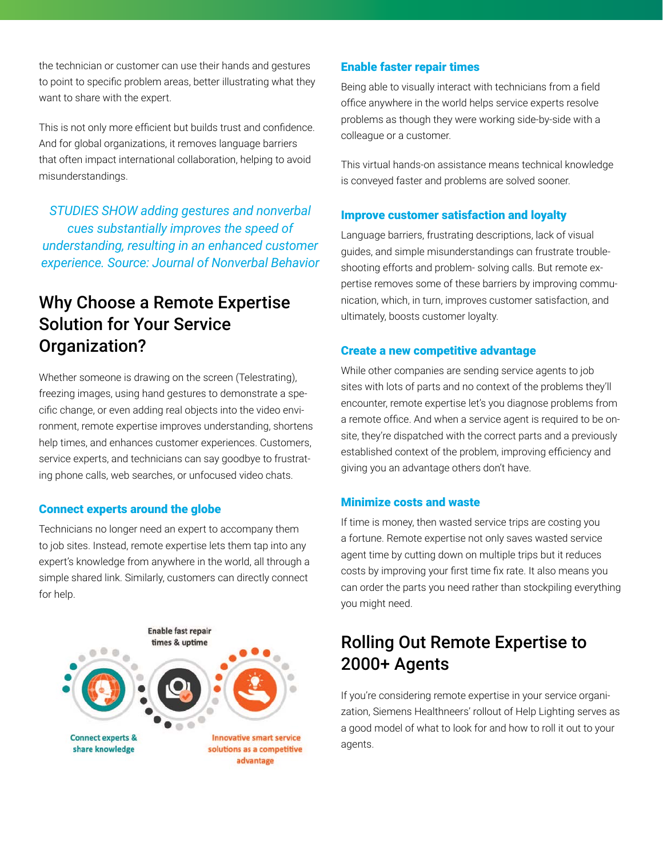the technician or customer can use their hands and gestures to point to specific problem areas, better illustrating what they want to share with the expert.

This is not only more efficient but builds trust and confidence. And for global organizations, it removes language barriers that often impact international collaboration, helping to avoid misunderstandings.

*STUDIES SHOW adding gestures and nonverbal cues substantially improves the speed of understanding, resulting in an enhanced customer experience. Source: Journal of Nonverbal Behavior*

### Why Choose a Remote Expertise Solution for Your Service Organization?

Whether someone is drawing on the screen (Telestrating), freezing images, using hand gestures to demonstrate a specific change, or even adding real objects into the video environment, remote expertise improves understanding, shortens help times, and enhances customer experiences. Customers, service experts, and technicians can say goodbye to frustrating phone calls, web searches, or unfocused video chats.

#### Connect experts around the globe

Technicians no longer need an expert to accompany them to job sites. Instead, remote expertise lets them tap into any expert's knowledge from anywhere in the world, all through a simple shared link. Similarly, customers can directly connect for help.



#### Enable faster repair times

Being able to visually interact with technicians from a field office anywhere in the world helps service experts resolve problems as though they were working side-by-side with a colleague or a customer.

This virtual hands-on assistance means technical knowledge is conveyed faster and problems are solved sooner.

#### Improve customer satisfaction and loyalty

Language barriers, frustrating descriptions, lack of visual guides, and simple misunderstandings can frustrate troubleshooting efforts and problem- solving calls. But remote expertise removes some of these barriers by improving communication, which, in turn, improves customer satisfaction, and ultimately, boosts customer loyalty.

#### Create a new competitive advantage

While other companies are sending service agents to job sites with lots of parts and no context of the problems they'll encounter, remote expertise let's you diagnose problems from a remote office. And when a service agent is required to be onsite, they're dispatched with the correct parts and a previously established context of the problem, improving efficiency and giving you an advantage others don't have.

#### Minimize costs and waste

If time is money, then wasted service trips are costing you a fortune. Remote expertise not only saves wasted service agent time by cutting down on multiple trips but it reduces costs by improving your first time fix rate. It also means you can order the parts you need rather than stockpiling everything you might need.

### Rolling Out Remote Expertise to 2000+ Agents

If you're considering remote expertise in your service organization, Siemens Healthneers' rollout of Help Lighting serves as a good model of what to look for and how to roll it out to your agents.